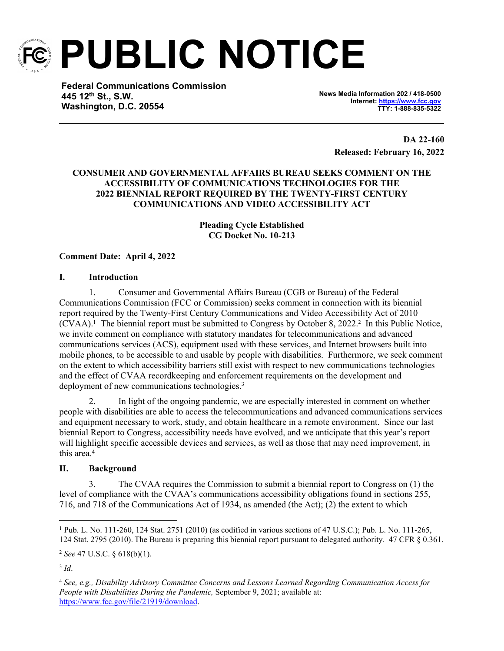

**PUBLIC NOTICE**

**Federal Communications Commission 445 12th St., S.W. Washington, D.C. 20554**

**News Media Information 202 / 418-0500 Internet:<https://www.fcc.gov> TTY: 1-888-835-5322**

> **DA 22-160 Released: February 16, 2022**

# **CONSUMER AND GOVERNMENTAL AFFAIRS BUREAU SEEKS COMMENT ON THE ACCESSIBILITY OF COMMUNICATIONS TECHNOLOGIES FOR THE 2022 BIENNIAL REPORT REQUIRED BY THE TWENTY-FIRST CENTURY COMMUNICATIONS AND VIDEO ACCESSIBILITY ACT**

**Pleading Cycle Established CG Docket No. 10-213**

# **Comment Date: April 4, 2022**

### **I. Introduction**

1. Consumer and Governmental Affairs Bureau (CGB or Bureau) of the Federal Communications Commission (FCC or Commission) seeks comment in connection with its biennial report required by the Twenty-First Century Communications and Video Accessibility Act of 2010 (CVAA).<sup>1</sup> The biennial report must be submitted to Congress by October 8, 2022.<sup>2</sup> In this Public Notice, we invite comment on compliance with statutory mandates for telecommunications and advanced communications services (ACS), equipment used with these services, and Internet browsers built into mobile phones, to be accessible to and usable by people with disabilities. Furthermore, we seek comment on the extent to which accessibility barriers still exist with respect to new communications technologies and the effect of CVAA recordkeeping and enforcement requirements on the development and deployment of new communications technologies.<sup>3</sup>

2. In light of the ongoing pandemic, we are especially interested in comment on whether people with disabilities are able to access the telecommunications and advanced communications services and equipment necessary to work, study, and obtain healthcare in a remote environment. Since our last biennial Report to Congress, accessibility needs have evolved, and we anticipate that this year's report will highlight specific accessible devices and services, as well as those that may need improvement, in this area.<sup>4</sup>

### **II. Background**

3. The CVAA requires the Commission to submit a biennial report to Congress on (1) the level of compliance with the CVAA's communications accessibility obligations found in sections 255, 716, and 718 of the Communications Act of 1934, as amended (the Act); (2) the extent to which

<sup>1</sup> Pub. L. No. 111-260, 124 Stat. 2751 (2010) (as codified in various sections of 47 U.S.C.); Pub. L. No. 111-265, 124 Stat. 2795 (2010). The Bureau is preparing this biennial report pursuant to delegated authority. 47 CFR § 0.361.

<sup>2</sup> *See* 47 U.S.C. § 618(b)(1).

<sup>3</sup> *Id*.

<sup>4</sup> *See, e.g., Disability Advisory Committee Concerns and Lessons Learned Regarding Communication Access for People with Disabilities During the Pandemic,* September 9, 2021; available at: [https://www.fcc.gov/file/21919/download.](https://www.fcc.gov/file/21919/download)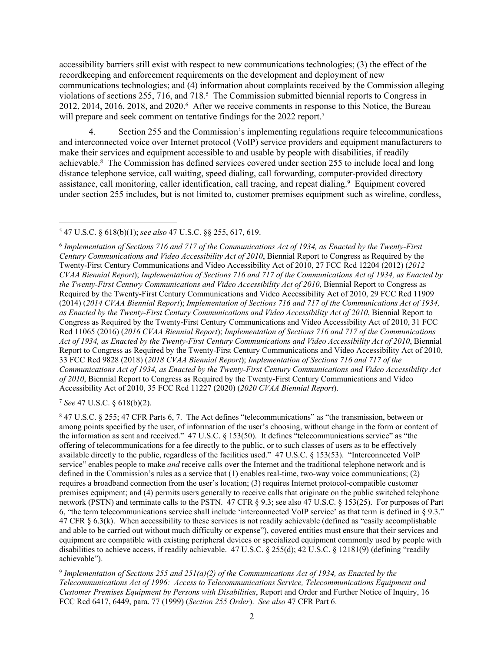accessibility barriers still exist with respect to new communications technologies; (3) the effect of the recordkeeping and enforcement requirements on the development and deployment of new communications technologies; and (4) information about complaints received by the Commission alleging violations of sections 255, 716, and 718.<sup>5</sup> The Commission submitted biennial reports to Congress in 2012, 2014, 2016, 2018, and 2020.<sup>6</sup> After we receive comments in response to this Notice, the Bureau will prepare and seek comment on tentative findings for the 2022 report.<sup>7</sup>

4. Section 255 and the Commission's implementing regulations require telecommunications and interconnected voice over Internet protocol (VoIP) service providers and equipment manufacturers to make their services and equipment accessible to and usable by people with disabilities, if readily achievable.<sup>8</sup> The Commission has defined services covered under section 255 to include local and long distance telephone service, call waiting, speed dialing, call forwarding, computer-provided directory assistance, call monitoring, caller identification, call tracing, and repeat dialing.<sup>9</sup> Equipment covered under section 255 includes, but is not limited to, customer premises equipment such as wireline, cordless,

<sup>7</sup> *See* 47 U.S.C. § 618(b)(2).

<sup>5</sup> 47 U.S.C. § 618(b)(1); *see also* 47 U.S.C. §§ 255, 617, 619.

<sup>6</sup> *Implementation of Sections 716 and 717 of the Communications Act of 1934, as Enacted by the Twenty-First Century Communications and Video Accessibility Act of 2010*, Biennial Report to Congress as Required by the Twenty-First Century Communications and Video Accessibility Act of 2010, 27 FCC Rcd 12204 (2012) (*2012 CVAA Biennial Report*); *Implementation of Sections 716 and 717 of the Communications Act of 1934, as Enacted by the Twenty-First Century Communications and Video Accessibility Act of 2010*, Biennial Report to Congress as Required by the Twenty-First Century Communications and Video Accessibility Act of 2010, 29 FCC Rcd 11909 (2014) (*2014 CVAA Biennial Report*); *Implementation of Sections 716 and 717 of the Communications Act of 1934, as Enacted by the Twenty-First Century Communications and Video Accessibility Act of 2010*, Biennial Report to Congress as Required by the Twenty-First Century Communications and Video Accessibility Act of 2010, 31 FCC Rcd 11065 (2016) (*2016 CVAA Biennial Report*); *Implementation of Sections 716 and 717 of the Communications Act of 1934, as Enacted by the Twenty-First Century Communications and Video Accessibility Act of 2010*, Biennial Report to Congress as Required by the Twenty-First Century Communications and Video Accessibility Act of 2010, 33 FCC Rcd 9828 (2018) (*2018 CVAA Biennial Report*); *Implementation of Sections 716 and 717 of the Communications Act of 1934, as Enacted by the Twenty-First Century Communications and Video Accessibility Act of 2010*, Biennial Report to Congress as Required by the Twenty-First Century Communications and Video Accessibility Act of 2010, 35 FCC Rcd 11227 (2020) (*2020 CVAA Biennial Report*).

<sup>8</sup> 47 U.S.C. § 255; 47 CFR Parts 6, 7. The Act defines "telecommunications" as "the transmission, between or among points specified by the user, of information of the user's choosing, without change in the form or content of the information as sent and received." 47 U.S.C. § 153(50). It defines "telecommunications service" as "the offering of telecommunications for a fee directly to the public, or to such classes of users as to be effectively available directly to the public, regardless of the facilities used." 47 U.S.C. § 153(53). "Interconnected VoIP service" enables people to make *and* receive calls over the Internet and the traditional telephone network and is defined in the Commission's rules as a service that (1) enables real-time, two-way voice communications; (2) requires a broadband connection from the user's location; (3) requires Internet protocol-compatible customer premises equipment; and (4) permits users generally to receive calls that originate on the public switched telephone network (PSTN) and terminate calls to the PSTN. 47 CFR § 9.3; see also 47 U.S.C. § 153(25). For purposes of Part 6, "the term telecommunications service shall include 'interconnected VoIP service' as that term is defined in § 9.3." 47 CFR § 6.3(k). When accessibility to these services is not readily achievable (defined as "easily accomplishable and able to be carried out without much difficulty or expense"), covered entities must ensure that their services and equipment are compatible with existing peripheral devices or specialized equipment commonly used by people with disabilities to achieve access, if readily achievable. 47 U.S.C. § 255(d); 42 U.S.C. § 12181(9) (defining "readily achievable").

<sup>9</sup> *Implementation of Sections 255 and 251(a)(2) of the Communications Act of 1934, as Enacted by the Telecommunications Act of 1996: Access to Telecommunications Service, Telecommunications Equipment and Customer Premises Equipment by Persons with Disabilities*, Report and Order and Further Notice of Inquiry, 16 FCC Rcd 6417, 6449, para. 77 (1999) (*Section 255 Order*). *See also* 47 CFR Part 6.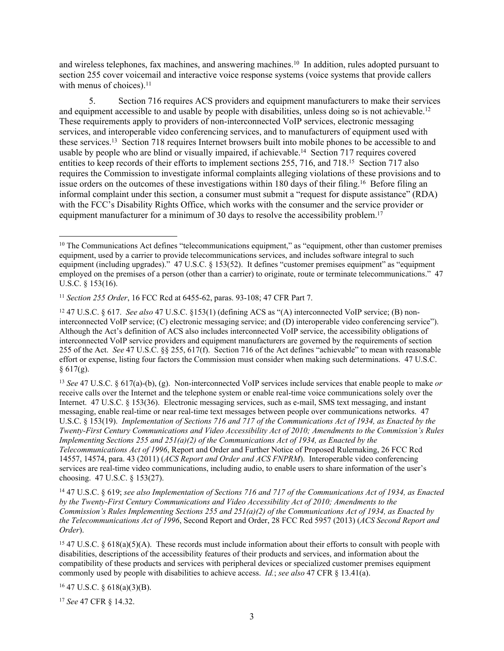and wireless telephones, fax machines, and answering machines.<sup>10</sup> In addition, rules adopted pursuant to section 255 cover voicemail and interactive voice response systems (voice systems that provide callers with menus of choices). $11$ 

5. Section 716 requires ACS providers and equipment manufacturers to make their services and equipment accessible to and usable by people with disabilities, unless doing so is not achievable.<sup>12</sup> These requirements apply to providers of non-interconnected VoIP services, electronic messaging services, and interoperable video conferencing services, and to manufacturers of equipment used with these services.<sup>13</sup> Section 718 requires Internet browsers built into mobile phones to be accessible to and usable by people who are blind or visually impaired, if achievable.<sup>14</sup> Section 717 requires covered entities to keep records of their efforts to implement sections 255, 716, and 718.<sup>15</sup> Section 717 also requires the Commission to investigate informal complaints alleging violations of these provisions and to issue orders on the outcomes of these investigations within 180 days of their filing.<sup>16</sup> Before filing an informal complaint under this section, a consumer must submit a "request for dispute assistance" (RDA) with the FCC's Disability Rights Office, which works with the consumer and the service provider or equipment manufacturer for a minimum of 30 days to resolve the accessibility problem.<sup>17</sup>

<sup>13</sup> *See* 47 U.S.C. § 617(a)-(b), (g). Non-interconnected VoIP services include services that enable people to make *or* receive calls over the Internet and the telephone system or enable real-time voice communications solely over the Internet. 47 U.S.C. § 153(36). Electronic messaging services, such as e-mail, SMS text messaging, and instant messaging, enable real-time or near real-time text messages between people over communications networks. 47 U.S.C. § 153(19). *Implementation of Sections 716 and 717 of the Communications Act of 1934, as Enacted by the Twenty-First Century Communications and Video Accessibility Act of 2010; Amendments to the Commission's Rules Implementing Sections 255 and 251(a)(2) of the Communications Act of 1934, as Enacted by the Telecommunications Act of 1996*, Report and Order and Further Notice of Proposed Rulemaking, 26 FCC Rcd 14557, 14574, para. 43 (2011) (*ACS Report and Order and ACS FNPRM*). Interoperable video conferencing services are real-time video communications, including audio, to enable users to share information of the user's choosing. 47 U.S.C. § 153(27).

<sup>14</sup> 47 U.S.C. § 619; *see also Implementation of Sections 716 and 717 of the Communications Act of 1934, as Enacted by the Twenty-First Century Communications and Video Accessibility Act of 2010; Amendments to the Commission's Rules Implementing Sections 255 and 251(a)(2) of the Communications Act of 1934, as Enacted by the Telecommunications Act of 1996*, Second Report and Order, 28 FCC Rcd 5957 (2013) (*ACS Second Report and Order*).

<sup>15</sup> 47 U.S.C. § 618(a)(5)(A). These records must include information about their efforts to consult with people with disabilities, descriptions of the accessibility features of their products and services, and information about the compatibility of these products and services with peripheral devices or specialized customer premises equipment commonly used by people with disabilities to achieve access. *Id.*; *see also* 47 CFR § 13.41(a).

 $16$  47 U.S.C. § 618(a)(3)(B).

<sup>17</sup> *See* 47 CFR § 14.32.

<sup>&</sup>lt;sup>10</sup> The Communications Act defines "telecommunications equipment," as "equipment, other than customer premises equipment, used by a carrier to provide telecommunications services, and includes software integral to such equipment (including upgrades)." 47 U.S.C. § 153(52). It defines "customer premises equipment" as "equipment employed on the premises of a person (other than a carrier) to originate, route or terminate telecommunications." 47 U.S.C. § 153(16).

<sup>11</sup> *Section 255 Order*, 16 FCC Rcd at 6455-62, paras. 93-108; 47 CFR Part 7.

<sup>12</sup> 47 U.S.C. § 617. *See also* 47 U.S.C. §153(1) (defining ACS as "(A) interconnected VoIP service; (B) noninterconnected VoIP service; (C) electronic messaging service; and (D) interoperable video conferencing service"). Although the Act's definition of ACS also includes interconnected VoIP service, the accessibility obligations of interconnected VoIP service providers and equipment manufacturers are governed by the requirements of section 255 of the Act. *See* 47 U.S.C. §§ 255, 617(f). Section 716 of the Act defines "achievable" to mean with reasonable effort or expense, listing four factors the Commission must consider when making such determinations. 47 U.S.C.  $§ 617(g).$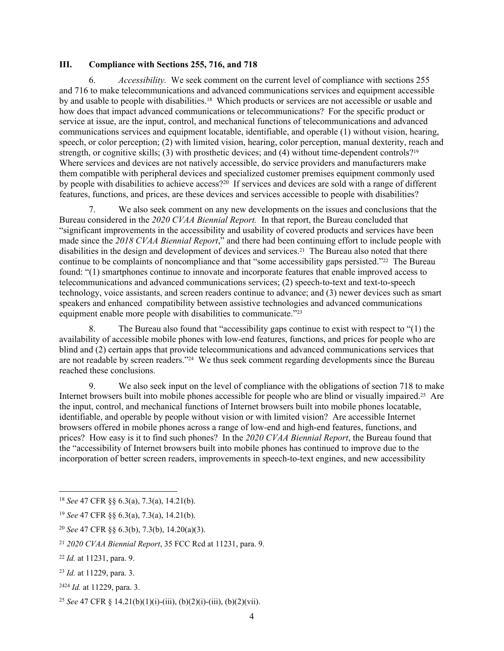#### **III. Compliance with Sections 255, 716, and 718**

6. *Accessibility.* We seek comment on the current level of compliance with sections 255 and 716 to make telecommunications and advanced communications services and equipment accessible by and usable to people with disabilities.18 Which products or services are not accessible or usable and how does that impact advanced communications or telecommunications? For the specific product or service at issue, are the input, control, and mechanical functions of telecommunications and advanced communications services and equipment locatable, identifiable, and operable (1) without vision, hearing, speech, or color perception; (2) with limited vision, hearing, color perception, manual dexterity, reach and strength, or cognitive skills; (3) with prosthetic devices; and (4) without time-dependent controls?<sup>19</sup> Where services and devices are not natively accessible, do service providers and manufacturers make them compatible with peripheral devices and specialized customer premises equipment commonly used by people with disabilities to achieve access?<sup>20</sup> If services and devices are sold with a range of different features, functions, and prices, are these devices and services accessible to people with disabilities?

7. We also seek comment on any new developments on the issues and conclusions that the Bureau considered in the *2020 CVAA Biennial Report.* In that report, the Bureau concluded that "significant improvements in the accessibility and usability of covered products and services have been made since the *2018 CVAA Biennial Report*," and there had been continuing effort to include people with disabilities in the design and development of devices and services.21 The Bureau also noted that there continue to be complaints of noncompliance and that "some accessibility gaps persisted."<sup>22</sup> The Bureau found: "(1) smartphones continue to innovate and incorporate features that enable improved access to telecommunications and advanced communications services; (2) speech-to-text and text-to-speech technology, voice assistants, and screen readers continue to advance; and (3) newer devices such as smart speakers and enhanced compatibility between assistive technologies and advanced communications equipment enable more people with disabilities to communicate."<sup>23</sup>

8. The Bureau also found that "accessibility gaps continue to exist with respect to "(1) the availability of accessible mobile phones with low-end features, functions, and prices for people who are blind and (2) certain apps that provide telecommunications and advanced communications services that are not readable by screen readers."24 We thus seek comment regarding developments since the Bureau reached these conclusions.

9. We also seek input on the level of compliance with the obligations of section 718 to make Internet browsers built into mobile phones accessible for people who are blind or visually impaired.25 Are the input, control, and mechanical functions of Internet browsers built into mobile phones locatable, identifiable, and operable by people without vision or with limited vision? Are accessible Internet browsers offered in mobile phones across a range of low-end and high-end features, functions, and prices? How easy is it to find such phones? In the *2020 CVAA Biennial Report*, the Bureau found that the "accessibility of Internet browsers built into mobile phones has continued to improve due to the incorporation of better screen readers, improvements in speech-to-text engines, and new accessibility

<sup>18</sup> *See* 47 CFR §§ 6.3(a), 7.3(a), 14.21(b).

<sup>19</sup> *See* 47 CFR §§ 6.3(a), 7.3(a), 14.21(b).

<sup>20</sup> *See* 47 CFR §§ 6.3(b), 7.3(b), 14.20(a)(3).

<sup>21</sup> *2020 CVAA Biennial Report*, 35 FCC Rcd at 11231, para. 9.

<sup>22</sup> *Id.* at 11231, para. 9.

<sup>23</sup> *Id.* at 11229, para. 3.

<sup>2424</sup> *Id.* at 11229, para. 3.

<sup>25</sup> *See* 47 CFR § 14.21(b)(1)(i)-(iii), (b)(2)(i)-(iii), (b)(2)(vii).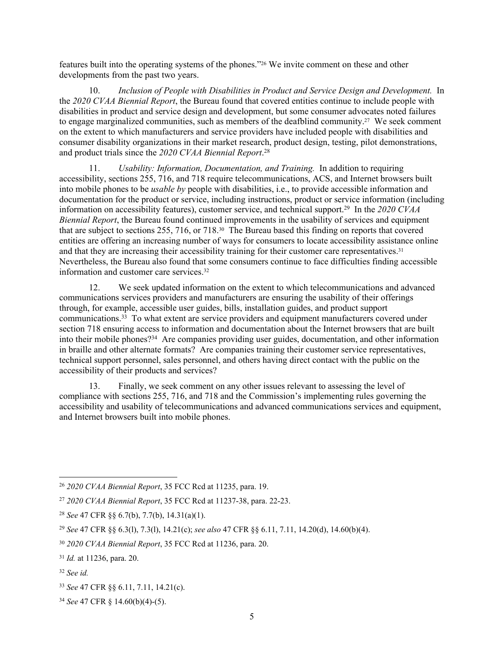features built into the operating systems of the phones."26 We invite comment on these and other developments from the past two years.

10. *Inclusion of People with Disabilities in Product and Service Design and Development.* In the *2020 CVAA Biennial Report*, the Bureau found that covered entities continue to include people with disabilities in product and service design and development, but some consumer advocates noted failures to engage marginalized communities, such as members of the deafblind community.27 We seek comment on the extent to which manufacturers and service providers have included people with disabilities and consumer disability organizations in their market research, product design, testing, pilot demonstrations, and product trials since the *2020 CVAA Biennial Report*. 28

11. *Usability: Information, Documentation, and Training.* In addition to requiring accessibility, sections 255, 716, and 718 require telecommunications, ACS, and Internet browsers built into mobile phones to be *usable by* people with disabilities, i.e., to provide accessible information and documentation for the product or service, including instructions, product or service information (including information on accessibility features), customer service, and technical support.<sup>29</sup> In the *2020 CVAA Biennial Report*, the Bureau found continued improvements in the usability of services and equipment that are subject to sections 255, 716, or 718.30 The Bureau based this finding on reports that covered entities are offering an increasing number of ways for consumers to locate accessibility assistance online and that they are increasing their accessibility training for their customer care representatives.<sup>31</sup> Nevertheless, the Bureau also found that some consumers continue to face difficulties finding accessible information and customer care services.<sup>32</sup>

12. We seek updated information on the extent to which telecommunications and advanced communications services providers and manufacturers are ensuring the usability of their offerings through, for example, accessible user guides, bills, installation guides, and product support communications.<sup>33</sup> To what extent are service providers and equipment manufacturers covered under section 718 ensuring access to information and documentation about the Internet browsers that are built into their mobile phones?<sup>34</sup> Are companies providing user guides, documentation, and other information in braille and other alternate formats? Are companies training their customer service representatives, technical support personnel, sales personnel, and others having direct contact with the public on the accessibility of their products and services?

13. Finally, we seek comment on any other issues relevant to assessing the level of compliance with sections 255, 716, and 718 and the Commission's implementing rules governing the accessibility and usability of telecommunications and advanced communications services and equipment, and Internet browsers built into mobile phones.

<sup>26</sup> *2020 CVAA Biennial Report*, 35 FCC Rcd at 11235, para. 19.

<sup>27</sup> *2020 CVAA Biennial Report*, 35 FCC Rcd at 11237-38, para. 22-23.

<sup>28</sup> *See* 47 CFR §§ 6.7(b), 7.7(b), 14.31(a)(1).

<sup>29</sup> *See* 47 CFR §§ 6.3(l), 7.3(l), 14.21(c); *see also* 47 CFR §§ 6.11, 7.11, 14.20(d), 14.60(b)(4).

<sup>30</sup> *2020 CVAA Biennial Report*, 35 FCC Rcd at 11236, para. 20.

<sup>31</sup> *Id.* at 11236, para. 20.

<sup>32</sup> *See id.*

<sup>33</sup> *See* 47 CFR §§ 6.11, 7.11, 14.21(c).

<sup>34</sup> *See* 47 CFR § 14.60(b)(4)-(5).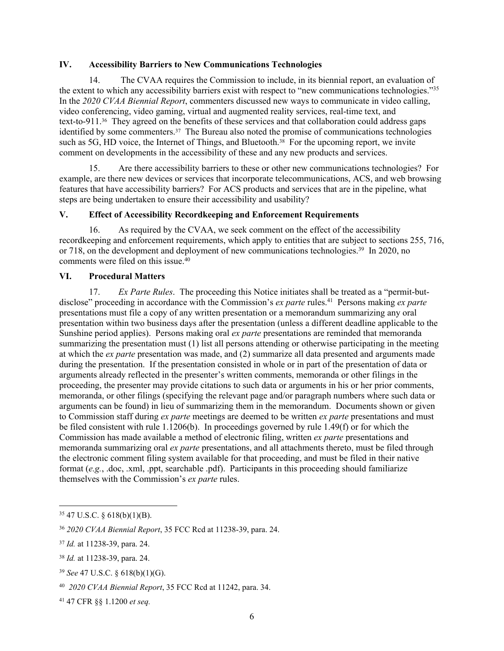#### **IV. Accessibility Barriers to New Communications Technologies**

14. The CVAA requires the Commission to include, in its biennial report, an evaluation of the extent to which any accessibility barriers exist with respect to "new communications technologies."<sup>35</sup> In the *2020 CVAA Biennial Report*, commenters discussed new ways to communicate in video calling, video conferencing, video gaming, virtual and augmented reality services, real-time text, and text-to-911.36 They agreed on the benefits of these services and that collaboration could address gaps identified by some commenters.<sup>37</sup> The Bureau also noted the promise of communications technologies such as 5G, HD voice, the Internet of Things, and Bluetooth.<sup>38</sup> For the upcoming report, we invite comment on developments in the accessibility of these and any new products and services.

15. Are there accessibility barriers to these or other new communications technologies? For example, are there new devices or services that incorporate telecommunications, ACS, and web browsing features that have accessibility barriers? For ACS products and services that are in the pipeline, what steps are being undertaken to ensure their accessibility and usability?

### **V. Effect of Accessibility Recordkeeping and Enforcement Requirements**

16. As required by the CVAA, we seek comment on the effect of the accessibility recordkeeping and enforcement requirements, which apply to entities that are subject to sections 255, 716, or 718, on the development and deployment of new communications technologies.<sup>39</sup> In 2020, no comments were filed on this issue.<sup>40</sup>

# **VI. Procedural Matters**

17. *Ex Parte Rules*. The proceeding this Notice initiates shall be treated as a "permit-butdisclose" proceeding in accordance with the Commission's *ex parte* rules.<sup>41</sup> Persons making *ex parte* presentations must file a copy of any written presentation or a memorandum summarizing any oral presentation within two business days after the presentation (unless a different deadline applicable to the Sunshine period applies). Persons making oral *ex parte* presentations are reminded that memoranda summarizing the presentation must (1) list all persons attending or otherwise participating in the meeting at which the *ex parte* presentation was made, and (2) summarize all data presented and arguments made during the presentation. If the presentation consisted in whole or in part of the presentation of data or arguments already reflected in the presenter's written comments, memoranda or other filings in the proceeding, the presenter may provide citations to such data or arguments in his or her prior comments, memoranda, or other filings (specifying the relevant page and/or paragraph numbers where such data or arguments can be found) in lieu of summarizing them in the memorandum. Documents shown or given to Commission staff during *ex parte* meetings are deemed to be written *ex parte* presentations and must be filed consistent with rule 1.1206(b). In proceedings governed by rule 1.49(f) or for which the Commission has made available a method of electronic filing, written *ex parte* presentations and memoranda summarizing oral *ex parte* presentations, and all attachments thereto, must be filed through the electronic comment filing system available for that proceeding, and must be filed in their native format (*e.g.*, .doc, .xml, .ppt, searchable .pdf). Participants in this proceeding should familiarize themselves with the Commission's *ex parte* rules.

<sup>35</sup> 47 U.S.C. § 618(b)(1)(B).

<sup>36</sup> *2020 CVAA Biennial Report*, 35 FCC Rcd at 11238-39, para. 24.

<sup>37</sup> *Id.* at 11238-39, para. 24.

<sup>38</sup> *Id.* at 11238-39, para. 24.

<sup>39</sup> *See* 47 U.S.C. § 618(b)(1)(G).

<sup>40</sup> *2020 CVAA Biennial Report*, 35 FCC Rcd at 11242, para. 34.

<sup>41</sup> 47 CFR §§ 1.1200 *et seq.*